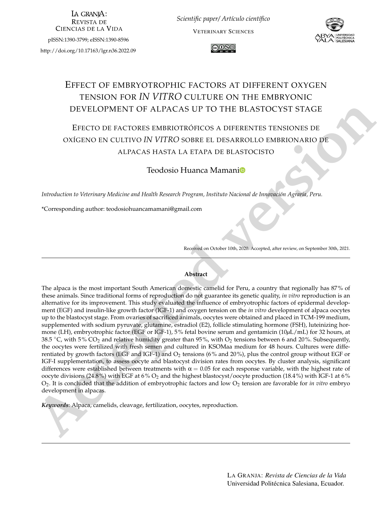LA GRANIA: **REVISTA DE CIENCIAS DE LA VIDA** 

pISSN:1390-3799; eISSN:1390-8596

<http://doi.org/10.17163/lgr.n36.2022.09>

*Scientific paper/ Artículo científico* VETERINARY SCIENCES





# EFFECT OF EMBRYOTROPHIC FACTORS AT DIFFERENT OXYGEN TENSION FOR *IN VITRO* CULTURE ON THE EMBRYONIC DEVELOPMENT OF ALPACAS UP TO THE BLASTOCYST STAGE

## EFECTO DE FACTORES EMBRIOTRÓFICOS A DIFERENTES TENSIONES DE OXÍGENO EN CULTIVO *IN VITRO* SOBRE EL DESARROLLO EMBRIONARIO DE ALPACAS HASTA LA ETAPA DE BLASTOCISTO

#### Teodosio Huanca Mamani

*Introduction to Veterinary Medicine and Health Research Program, Instituto Nacional de Innovación Agraria, Peru.*

\*Corresponding author: <teodosiohuancamamani@gmail.com>

Received on October 10th, 2020. Accepted, after review, on September 30th, 2021.

#### **Abstract**

**IDEVELOPMENT OF ALPACAS UP TO THE BLASTOCYST STAGE<br>
<b>EFECTO DE FACTORES EMBRICITROPICOS A DIFERENTES TENSIONES DE<br>
DOGGENO EN CULTIVO IN VITRO SOBRE EL DESARROLLO EMBRIONARIO DE<br>
ALPACAS HASTA LA ETAPA DE BLASTOCISTO<br>
<b>AC** The alpaca is the most important South American domestic camelid for Peru, a country that regionally has 87% of these animals. Since traditional forms of reproduction do not guarantee its genetic quality, *in vitro* reproduction is an alternative for its improvement. This study evaluated the influence of embryotrophic factors of epidermal development (EGF) and insulin-like growth factor (IGF-1) and oxygen tension on the *in vitro* development of alpaca oocytes up to the blastocyst stage. From ovaries of sacrificed animals, oocytes were obtained and placed in TCM-199 medium, supplemented with sodium pyruvate, glutamine, estradiol (E2), follicle stimulating hormone (FSH), luteinizing hormone (LH), embryotrophic factor (EGF or IGF-1), 5% fetal bovine serum and gentamicin (10*µ*L/mL) for 32 hours, at 38.5  $\degree$ C, with 5% CO<sub>2</sub> and relative humidity greater than 95%, with O<sub>2</sub> tensions between 6 and 20%. Subsequently, the oocytes were fertilized with fresh semen and cultured in KSOMaa medium for 48 hours. Cultures were differentiated by growth factors (EGF and IGF-1) and  $O_2$  tensions (6% and 20%), plus the control group without EGF or IGF-I supplementation, to assess oocyte and blastocyst division rates from oocytes. By cluster analysis, significant differences were established between treatments with  $\alpha = 0.05$  for each response variable, with the highest rate of oocyte divisions (24.8%) with EGF at 6%  $O_2$  and the highest blastocyst/oocyte production (18.4%) with IGF-1 at 6%  $O_2$ . It is concluded that the addition of embryotrophic factors and low  $O_2$  tension are favorable for *in vitro* embryo development in alpacas.

*Keywords*: Alpaca, camelids, cleavage, fertilization, oocytes, reproduction.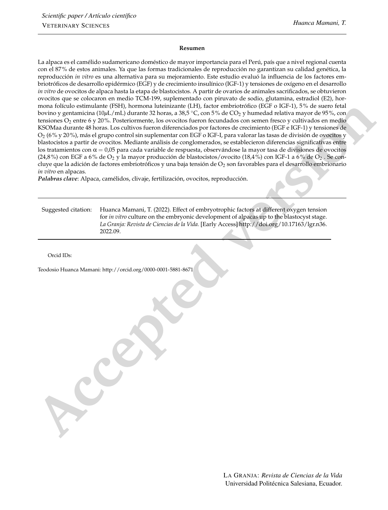#### **Resumen**

**The main follow controller (1941)**, because the behin[d](http://orcid.org/0000-0001-5881-8671)er the [13]  $\mu$  follows a strength of the inter[ve](http://doi.org/10.17163/lgr.n36.2022.09)ntion (1941) is the main follow the strength of the intervention (1941) is the strength of the intervention of the in La alpaca es el camélido sudamericano doméstico de mayor importancia para el Perú, país que a nivel regional cuenta con el 87% de estos animales. Ya que las formas tradicionales de reproducción no garantizan su calidad genética, la reproducción *in vitro* es una alternativa para su mejoramiento. Este estudio evaluó la influencia de los factores embriotróficos de desarrollo epidérmico (EGF) y de crecimiento insulínico (IGF-1) y tensiones de oxígeno en el desarrollo *in vitro* de ovocitos de alpaca hasta la etapa de blastocistos. A partir de ovarios de animales sacrificados, se obtuvieron ovocitos que se colocaron en medio TCM-199, suplementado con piruvato de sodio, glutamina, estradiol (E2), hormona folículo estimulante (FSH), hormona luteinizante (LH), factor embriotrófico (EGF o IGF-1), 5% de suero fetal bovino y gentamicina (10*µ*L/mL) durante 32 horas, a 38,5 ◦C, con 5% de CO<sup>2</sup> y humedad relativa mayor de 95%, con tensiones  $O_2$  entre 6 y 20%. Posteriormente, los ovocitos fueron fecundados con semen fresco y cultivados en medio KSOMaa durante 48 horas. Los cultivos fueron diferenciados por factores de crecimiento (EGF e IGF-1) y tensiones de O2 (6% y 20%), más el grupo control sin suplementar con EGF o IGF-I, para valorar las tasas de división de ovocitos y blastocistos a partir de ovocitos. Mediante análisis de conglomerados, se establecieron diferencias significativas entre los tratamientos con  $\alpha = 0.05$  para cada variable de respuesta, observándose la mayor tasa de divisiones de ovocitos (24,8%) con EGF a 6% de O<sub>2</sub> y la mayor producción de blastocistos/ovocito (18,4%) con IGF-1 a 6% de O<sub>2</sub>. Se concluye que la adición de factores embriotróficos y una baja tensión de  $O_2$  son favorables para el desarrollo embrionario *in vitro* en alpacas.

*Palabras clave*: Alpaca, camélidos, clivaje, fertilización, ovocitos, reproducción.

| Suggested citation: | Huanca Mamani, T. (2022). Effect of embryotrophic factors at different oxygen tension      |  |  |  |
|---------------------|--------------------------------------------------------------------------------------------|--|--|--|
|                     | for in vitro culture on the embryonic development of alpacas up to the blastocyst stage.   |  |  |  |
|                     | La Granja: Revista de Ciencias de la Vida. [Early Access] http://doi.org/10.17163/lgr.n36. |  |  |  |
|                     | 2022.09.                                                                                   |  |  |  |

Orcid IDs:

Teodosio Huanca Mamani: http://orcid.org/0000-0001-5881-8671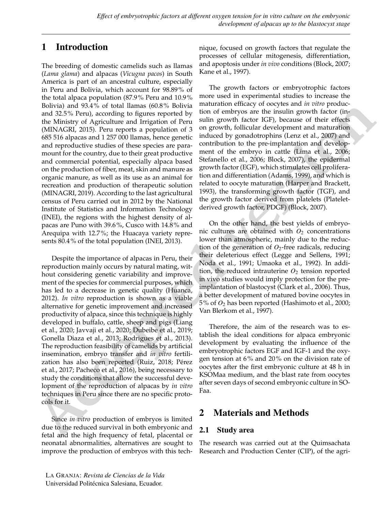## 1 Introduction

The breeding of domestic camelids such as llamas (*Lama glama*) and alpacas (*Vicugna pacos*) in South America is part of an ancestral culture, especially in Peru and Bolivia, which account for 98.89% of the total alpaca population (87.9% Peru and 10.9% Bolivia) and 93.4% of total llamas (60.8% Bolivia and 32.5% Peru), according to figures reported by the Ministry of Agriculture and Irrigation of Peru [\(MINAGRI,](#page-8-0) [2015\)](#page-8-0). Peru reports a population of 3 685 516 alpacas and 1 257 000 llamas, hence genetic and reproductive studies of these species are paramount for the country, due to their great productive and commercial potential, especially alpaca based on the production of fiber, meat, skin and manure as organic manure, as well as its use as an animal for recreation and production of therapeutic solution [\(MINAGRI,](#page-8-1) [2019\)](#page-8-1). According to the last agricultural census of Peru carried out in 2012 by the National Institute of Statistics and Information Technology (INEI), the regions with the highest density of alpacas are Puno with 39.6%, Cusco with 14.8% and Arequipa with 12.7%; the Huacaya variety represents 80.4% of the total population [\(INEI,](#page-7-0) [2013\)](#page-7-0).

Relive) and 98.4% of [t](#page-7-2)otal la[n](#page-7-7)es (66.8% adjustment means (9.1) the differential means (8.2) and 2.45 a for the Ministry of April 2.00 and 1.20 and 2.1 and 2.2 and 2.1 and 2.1 and 2.1 and 2.1 and 2.1 and 2.1 and 2.1 and 2. Despite the importance of alpacas in Peru, their reproduction mainly occurs by natural mating, without considering genetic variability and improvement of the species for commercial purposes, which has led to a decrease in genetic quality (Huanca, 2012). *In vitro* reproduction is shown as a viable alternative for genetic improvement and increased productivity of alpaca, since this technique is highly developed in buffalo, cattle, sheep and pigs (Liang et al., 2020; Javvaji et al., 2020; Dubeibe et al., 2019; Gonella Diaza et al., 2013; Rodrigues et al., 2013). The reproduction feasibility of camelids by artificial insemination, embryo transfer and *in vitro* fertilization has also been reported (Ruiz, 2018; Pérez et al., 2017; Pacheco et al., 2016), being necessary to study the conditions that allow the successful development of the reproduction of alpacas by *in vitro* techniques in Peru since there are no specific protocols for it.

Since *in vitro* production of embryos is limited due to the reduced survival in both embryonic and fetal and the high frequency of fetal, placental or neonatal abnormalities, alternatives are sought to improve the production of embryos with this technique, focused on growth factors that regulate the processes of cellular mitogenesis, differentiation, and apoptosis under *in vivo* conditions [\(Block,](#page-6-0) [2007;](#page-6-0) [Kane et al.,](#page-7-6) [1997\)](#page-7-6).

The growth factors or embryotrophic factors more used in experimental studies to increase the maturation efficacy of oocytes and *in vitro* production of embryos are the insulin growth factor (insulin growth factor IGF), because of their effects on growth, follicular development and maturation induced by gonadotrophins (Lenz et al., 2007) and contribution to the pre-implantation and development of the embryo in cattle (Lima et al., 2006; [Stefanello et al.,](#page-8-6) 2006; Block, 2007), the epidermal growth factor (EGF), which stimulates cell proliferation and differentiation (Adams, 1999), and which is related to oocyte maturation (Harper and Brackett, [1993\)](#page-7-9), the transforming growth factor (TGF), and the growth factor derived from platelets (Plateletderived growth factor, PDGF) (Block, 2007).

On the other hand, the best yields of embryonic cultures are obtained with  $O_2$  concentrations lower than atmospheric, mainly due to the reduction of the generation of  $O_2$ -free radicals, reducing their deleterious effect [\(Legge and Sellens,](#page-7-10) 1991; [Noda et al.,](#page-8-7) [1991;](#page-8-7) [Umaoka et al.,](#page-8-8) [1992\)](#page-8-8). In addition, the reduced intrauterine  $O_2$  tension reported in vivo studies would imply protection for the preimplantation of blastocyst [\(Clark et al.,](#page-6-2) [2006\)](#page-6-2). Thus, a better development of matured bovine oocytes in 5% of *O*<sup>2</sup> has been reported [\(Hashimoto et al.,](#page-7-11) [2000;](#page-7-11) [Van Blerkom et al.,](#page-8-9) [1997\)](#page-8-9).

Therefore, the aim of the research was to establish the ideal conditions for alpaca embryonic development by evaluating the influence of the embryotrophic factors EGF and IGF-1 and the oxygen tension at 6% and 20% on the division rate of oocytes after the first embryonic culture at 48 h in KSOMaa medium, and the blast rate from oocytes after seven days of second embryonic culture in SO-Faa.

# 2 Materials and Methods

### 2.1 Study area

The research was carried out at the Quimsachata Research and Production Center (CIP), of the agri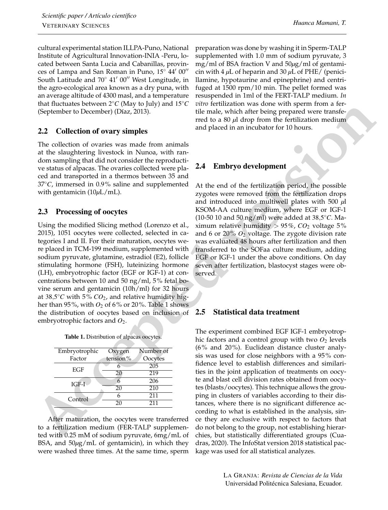cultural experimental station ILLPA-Puno, National Institute of Agricultural Innovation-INIA -Peru, located between Santa Lucia and Cabanillas, provinces of Lampa and San Roman in Puno,  $15^{\circ}$  44' 00" South Latitude and  $70^{\circ}$  41' 00" West Longitude, in the agro-ecological area known as a dry puna, with an average altitude of 4300 masl, and a temperature that fluctuates between 2 ◦*C* (May to July) and 15◦*C* (September to December) [\(Díaz,](#page-6-3) [2013\)](#page-6-3).

### 2.2 Collection of ovary simples

The collection of ovaries was made from animals at the slaughtering livestock in Nunoa, with random sampling that did not consider the reproductive status of alpacas. The ovaries collected were placed and transported in a thermos between 35 and 37◦*C*, immersed in 0.9% saline and supplemented with gentamicin (10*µ*L/mL).

#### 2.3 Processing of oocytes

Using the modified Slicing method [\(Lorenzo et al.,](#page-7-12) [2015\)](#page-7-12), 1051 oocytes were collected, selected in categories I and II. For their maturation, oocytes were placed in TCM-199 medium, supplemented with sodium pyruvate, glutamine, estradiol (E2), follicle stimulating hormone (FSH), luteinizing hormone (LH), embryotrophic factor (EGF or IGF-1) at concentrations between 10 and 50 ng/ml, 5% fetal bovine serum and gentamicin (10h/ml) for 32 hours at 38,5 ◦*C* with 5% *CO*2, and relative humidity higher than 95%, with  $O_2$  of 6% or 20%. Table 1 shows the distribution of oocytes based on inclusion of embryotrophic factors and *O*2.

| Embryotrophic | Oxygen   | Number of |  |
|---------------|----------|-----------|--|
| Factor        | tension% | Oocytes   |  |
|               |          | 205       |  |
| EGF           | 20       | 219       |  |
| IGF-I         |          | 206       |  |
|               | 20       | 210       |  |
| Control       | 6        | 211       |  |
|               | 20       | 211       |  |

After maturation, the oocytes were transferred to a fertilization medium (FER-TALP supplemented with 0.25 mM of sodium pyruvate, 6mg/mL of BSA, and 50*µ*g/mL of gentamicin), in which they were washed three times. At the same time, sperm preparation was done by washing it in Sperm-TALP supplemented with 1.0 mm of sodium pyruvate, 3 mg/ml of BSA fraction V and 50*µ*g/ml of gentamicin with 4 *µ*L of heparin and 30 *µ*L of PHE/ (penicillamine, hypotaurine and epinephrine) and centrifuged at 1500 rpm/10 min. The pellet formed was resuspended in 1ml of the FERT-TALP medium. *In vitro* fertilization was done with sperm from a fertile male, which after being prepared were transferred to a 80 *µ*l drop from the fertilization medium and placed in an incubator for 10 hours.

### 2.4 Embryo development

At the end of the fertilization period, the possible zygotes were removed from the fertilization drops and introduced into multiwell plates with 500 *µ*l KSOM-AA culture medium, where EGF or IGF-1 (10-50 10 and 50 ng/ml) were added at 38,5 ◦*C*. Maximum relative humidity  $> 95\%$ ,  $CO<sub>2</sub>$  voltage 5% and 6 or  $20\%$   $O_2$  voltage. The zygote division rate was evaluated 48 hours after fertilization and then transferred to the SOFaa culture medium, adding EGF or IGF-1 under the above conditions. On day seven after fertilization, blastocyst stages were observed.

#### 2.5 Statistical data treatment

**For the interval and the control of the interval and the control of the set of the set of the set of the set of the set of the set of the set of the set of the set of the set of the set of the set of the set of the set o** The experiment combined EGF IGF-1 embryotrophic factors and a control group with two  $O_2$  levels (6% and 20%). Euclidean distance cluster analysis was used for close neighbors with a 95% confidence level to establish differences and similarities in the joint application of treatments on oocyte and blast cell division rates obtained from oocytes (blasts/oocytes). This technique allows the grouping in clusters of variables according to their distances, where there is no significant difference according to what is established in the analysis, since they are exclusive with respect to factors that do not belong to the group, not establishing hierarchies, but statistically differentiated groups [\(Cua](#page-6-4)[dras,](#page-6-4) [2020\)](#page-6-4). The InfoStat version 2018 statistical package was used for all statistical analyzes.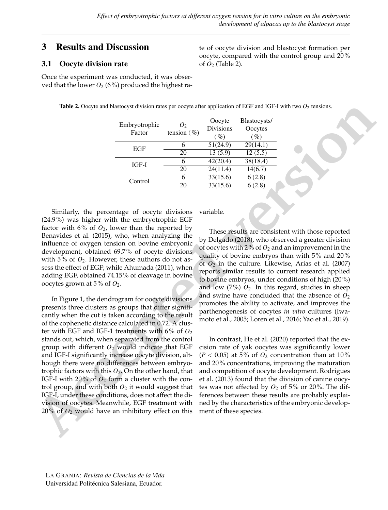of *O*<sup>2</sup> (Table 2).

### 3 Results and Discussion

#### 3.1 Oocyte division rate

Once the experiment was conducted, it was observed that the lower  $O_2$  (6%) produced the highest ra-

Table 2. Oocyte and blastocyst division rates per oocyte after application of EGF and IGF-I with two *O*<sup>2</sup> tensions.

| Embryotrophic<br>Factor | 0,<br>tension $(\% )$ | Oocyte<br><b>Divisions</b><br>$($ %) | Blastocysts/<br>Oocytes<br>( %) |
|-------------------------|-----------------------|--------------------------------------|---------------------------------|
| EGF                     | 6                     | 51(24.9)                             | 29(14.1)                        |
|                         | 20                    | 13(5.9)                              | 12(5.5)                         |
| $IGF-I$                 | 6                     | 42(20.4)                             | 38(18.4)                        |
|                         | 20                    | 24(11.4)                             | 14(6.7)                         |
| Control                 | 6                     | 33(15.6)                             | 6(2.8)                          |
|                         | 20                    | $\overline{33(15.6)}$                | 6(2.8)                          |

Similarly, the percentage of oocyte divisions (24.9%) was higher with the embryotrophic EGF factor with  $6\%$  of  $O_2$ , lower than the reported by [Benavides et al.](#page-6-5) [\(2015\)](#page-6-5), who, when analyzing the influence of oxygen tension on bovine embryonic development, obtained 69.7% of oocyte divisions with  $5\%$  of  $O_2$ . However, these authors do not assess the effect of EGF; while Ahumada (2011), when adding EGF, obtained 74.15% of cleavage in bovine oocytes grown at 5% of *O*2.

**Theke 2.** Oxyste and blastocyst division rates per co[ve](#page-6-7)r after splits and GFF and IGF-1 with two  $O_2$  tensions.<br> **Entry one of the cone of the cone of the splits and the splits and the splits and the splits and tension** In Figure 1, the dendrogram for oocyte divisions presents three clusters as groups that differ significantly when the cut is taken according to the result of the cophenetic distance calculated in 0.72. A cluster with EGF and IGF-1 treatments with  $6\%$  of  $O_2$ stands out, which, when separated from the control group with different  $O_2$  would indicate that EGF and IGF-I significantly increase oocyte division, although there were no differences between embryotrophic factors with this *O*2. On the other hand, that IGF-I with 20% of  $O_2$  form a cluster with the control group, and with both  $O_2$  it would suggest that IGF-I, under these conditions, does not affect the division of oocytes. Meanwhile, EGF treatment with  $20\%$  of  $O_2$  would have an inhibitory effect on this

variable.

These results are consistent with those reported by [Delgado](#page-6-7) (2018), who observed a greater division of oocytes with 2% of  $O_2$  and an improvement in the quality of bovine embryos than with 5% and 20% of *O*<sup>2</sup> in the culture. Likewise, [Arias et al.](#page-6-8) [\(2007\)](#page-6-8) reports similar results to current research applied to bovine embryos, under conditions of high (20%) and low  $(7\%)$   $O_2$ . In this regard, studies in sheep and swine have concluded that the absence of *O*<sup>2</sup> promotes the ability to activate, and improves the parthenogenesis of oocytes *in vitro* cultures [\(Iwa](#page-7-13)moto et al., [2005;](#page-7-13) [Loren et al.,](#page-7-14) [2016;](#page-7-14) [Yao et al.,](#page-8-10) [2019\)](#page-8-10).

te of oocyte division and blastocyst formation per oocyte, compared with the control group and 20%

In contrast, [He et al.](#page-7-15) [\(2020\)](#page-7-15) reported that the excision rate of yak oocytes was significantly lower  $(P < 0.05)$  at 5% of  $O<sub>2</sub>$  concentration than at 10% and 20% concentrations, improving the maturation and competition of oocyte development. [Rodrigues](#page-8-2) et al. (2013) found that the division of canine oocytes was not affected by  $O_2$  of 5% or 20%. The differences between these results are probably explained by the characteristics of the embryonic development of these species.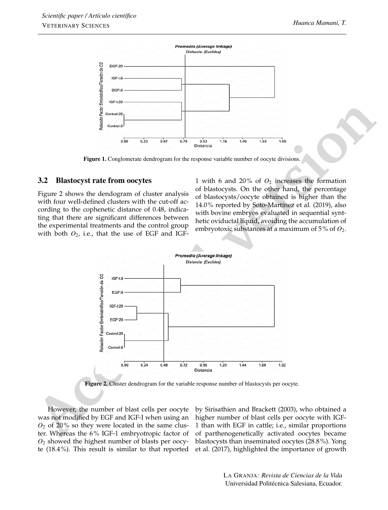

Figure 1. Conglomerate dendrogram for the response variable number of oocyte divisions.

#### 3.2 Blastocyst rate from oocytes

Figure 2 shows the dendogram of cluster analysis with four well-defined clusters with the cut-off according to the cophenetic distance of 0.48, indicating that there are significant differences between the experimental treatments and the control group with both  $O_2$ , i.e., that the use of EGF and IGF-

1 with 6 and 20% of *O*<sup>2</sup> increases the formation of blastocysts. On the other hand, the percentage of blastocysts/oocyte obtained is higher than the 14.0% reported by Soto-Martínez et al. (2019), also with bovine embryos evaluated in sequential synthetic oviductal liquid, avoiding the accumulation of embryotoxic substances at a maximum of 5% of *O*2.



Figure 2. Cluster dendrogram for the variable response number of blastocysts per oocyte.

However, the number of blast cells per oocyte was not modified by EGF and IGF-I when using an  $O<sub>2</sub>$  of 20% so they were located in the same cluster. Whereas the 6% IGF-1 embryotropic factor of *O*<sup>2</sup> showed the highest number of blasts per oocyte (18.4%). This result is similar to that reported

by [Sirisathien and Brackett](#page-8-12) [\(2003\)](#page-8-12), who obtained a higher number of blast cells per oocyte with IGF-1 than with EGF in cattle; i.e., similar proportions of parthenogenetically activated oocytes became blastocysts than inseminated oocytes (28.8%). [Yong](#page-8-13) [et al.](#page-8-13) [\(2017\)](#page-8-13), highlighted the importance of growth

> LA GRANJA: *Revista de Ciencias de la Vida* Universidad Politécnica Salesiana, Ecuador.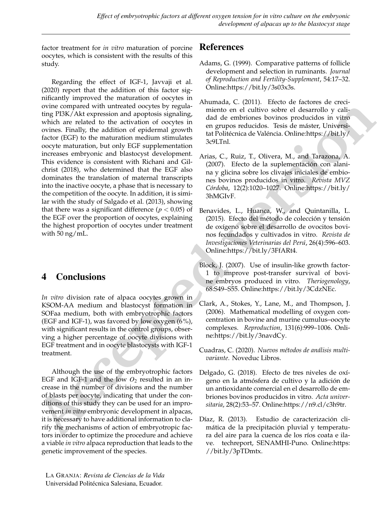factor treatment for *in vitro* maturation of porcine oocytes, which is consistent with the results of this study.

o[v](https://bit.ly/3FfARt4)iet compared with uniteducid coercit[s](https://bit.ly/3hMGIvF) by regular means [on](https://bit.ly/3c9LTnl)e of calibre scheme in the service is a state of the service of the controller of the service of the service of the service of the service of the service of the s Regarding the effect of IGF-1, [Javvaji et al.](#page-7-3) [\(2020\)](#page-7-3) report that the addition of this factor significantly improved the maturation of oocytes in ovine compared with untreated oocytes by regulating PI3K/Akt expression and apoptosis signaling, which are related to the activation of oocytes in ovines. Finally, the addition of epidermal growth factor (EGF) to the maturation medium stimulates oocyte maturation, but only EGF supplementation increases embryonic and blastocyst development. This evidence is consistent with [Richani and Gil](#page-8-14)[christ](#page-8-14) [\(2018\)](#page-8-14), who determined that the EGF also dominates the translation of maternal transcripts into the inactive oocyte, a phase that is necessary to the competition of the oocyte. In addition, it is similar with the study of [Salgado et al.](#page-8-15) [\(2013\)](#page-8-15), showing that there was a significant difference ( $p < 0.05$ ) of the EGF over the proportion of oocytes, explaining the highest proportion of oocytes under treatment with 50 ng/mL.

# 4 Conclusions

*In vitro* division rate of alpaca oocytes grown in KSOM-AA medium and blastocyst formation in SOFaa medium, both with embryotrophic factors (EGF and IGF-1), was favored by low oxygen  $(6\%)$ , with significant results in the control groups, observing a higher percentage of oocyte divisions with EGF treatment and in oocyte blastocysts with IGF-1 treatment.

Although the use of the embryotrophic factors EGF and IGF-1 and the low  $O_2$  resulted in an increase in the number of divisions and the number of blasts per oocyte, indicating that under the conditions of this study they can be used for an improvement *in vitro* embryonic development in alpacas, it is necessary to have additional information to clarify the mechanisms of action of embryotropic factors in order to optimize the procedure and achieve a viable *in vitro* alpaca reproduction that leads to the genetic improvement of the species.

### References

- <span id="page-6-1"></span>Adams, G. (1999). Comparative patterns of follicle development and selection in ruminants. *Journal of Reproduction and Fertility-Supplement*, 54:17–32. Online[:https://bit.ly/3s03x3s.](https://bit.ly/3s03x3s)
- <span id="page-6-6"></span>Ahumada, C. (2011). Efecto de factores de crecimiento en el cultivo sobre el desarrollo y calidad de embriones bovinos producidos in vitro en grupos reducidos. Tesis de máster, Universitat Politécnica de Valéncia. Online:https://bit.ly/ [3c9LTnl.](https://bit.ly/3c9LTnl)
- <span id="page-6-8"></span>Arias, C., Ruiz, T., Olivera, M., and Tarazona, A. (2007). Efecto de la suplementación con alanina y glicina sobre los clivajes iniciales de embiones bovinos producidos in vitro. *Revista MVZ Córdoba*, 12(2):1020–1027. Online:https://bit.ly/ [3hMGIvF.](https://bit.ly/3hMGIvF)
- <span id="page-6-5"></span>Benavides, L., Huanca, W., and Quintanilla, L. (2015). Efecto del método de colección y tensión de oxígeno sobre el desarrollo de ovocitos bovinos fecundados y cultivados in vitro. *Revista de Investigaciones Veterinarias del Perú*, 26(4):596–603. Online:https://bit.ly/3FfARt4.
- <span id="page-6-0"></span>Block, J. (2007). Use of insulin-like growth factor-1 to improve post-transfer survival of bovine embryos produced in vitro. *Theriogenology*, 68:S49–S55. Online[:https://bit.ly/3CdzNEc.](https://bit.ly/3CdzNEc)
- <span id="page-6-2"></span>Clark, A., Stokes, Y., Lane, M., and Thompson, J. (2006). Mathematical modelling of oxygen concentration in bovine and murine cumulus–oocyte complexes. *Reproduction*, 131(6):999–1006. Online[:https://bit.ly/3navdCy.](https://bit.ly/3navdCy)
- <span id="page-6-4"></span>Cuadras, C. (2020). *Nuevos métodos de análisis multivariante*. Noveduc Libros.
- <span id="page-6-7"></span>Delgado, G. (2018). Efecto de tres niveles de oxígeno en la atmósfera de cultivo y la adición de un antioxidante comercial en el desarrollo de embriones bovinos producidos in vitro. *Acta universitaria*, 28(2):53–57. Online[:https://n9.cl/c3h9tr.](https://n9.cl/c3h9tr)
- <span id="page-6-3"></span>Díaz, R. (2013). Estudio de caracterización climática de la precipitación pluvial y temperatura del aire para la cuenca de los ríos coata e ilave. techreport, SENAMHI-Puno. Online[:https:](https://bit.ly/3pTDmtx) [//bit.ly/3pTDmtx.](https://bit.ly/3pTDmtx)

LA GRANJA: *Revista de Ciencias de la Vida* Universidad Politécnica Salesiana, Ecuador. <sup>7</sup>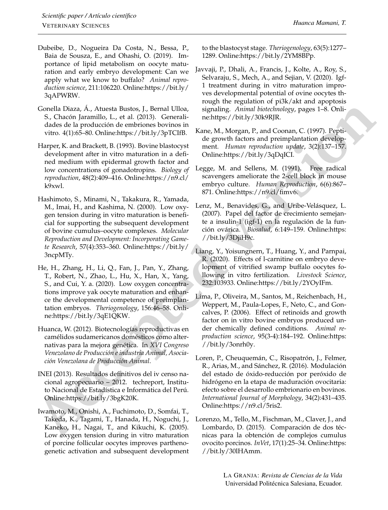- <span id="page-7-4"></span>Dubeibe, D., Nogueira Da Costa, N., Bessa, P., Baia de Sousza, E., and Ohashi, O. (2019). Importance of lipid metabolism on oocyte maturation and early embryo development: Can we apply what we know to buffalo? *Animal reproduction science*, 211:106220. Online[:https://bit.ly/](https://bit.ly/3qAPWRW) [3qAPWRW.](https://bit.ly/3qAPWRW)
- Gonella Diaza, Á., Atuesta Bustos, J., Bernal Ulloa, S., Chacón Jaramillo, L., et al. (2013). Generalidades de la producción de embriones bovinos in vitro. 4(1):65–80. Online[:https://bit.ly/3pTCIfB.](https://bit.ly/3pTCIfB)
- <span id="page-7-11"></span><span id="page-7-9"></span>Harper, K. and Brackett, B. (1993). Bovine blastocyst development after in vitro maturation in a defined medium with epidermal growth factor and low concentrations of gonadotropins. *Biology of reproduction*, 48(2):409–416. Online[:https://n9.cl/](https://n9.cl/k9xwl) [k9xwl.](https://n9.cl/k9xwl)
- <span id="page-7-5"></span>Grootly Boza, A., Attawisia Busines Like an[d](https://bit.ly/3ncpMTy) The s[i](https://bit.ly/3qDqICI)gnifully Asimot bistoched<br>by  $\alpha$  $\alpha$  $\alpha$ ,  $\beta$ , Chart Boxa, Boxa, Boxa, Boxa, Boxa, Boxa, Boxa, Boxa, Boxa, Boxa, Boxa, Boxa, Boxa, Boxa, Boxa, Boxa, Boxa, Boxa, Boxa, Boxa, Boxa Hashimoto, S., Minami, N., Takakura, R., Yamada, M., Imai, H., and Kashima, N. (2000). Low oxygen tension during in vitro maturation is beneficial for supporting the subsequent development of bovine cumulus–oocyte complexes. *Molecular Reproduction and Development: Incorporating Gamete Research*, 57(4):353–360. Online:https://bit.ly/ 3ncpMTy.
- <span id="page-7-15"></span>He, H., Zhang, H., Li, Q., Fan, J., Pan, Y., Zhang, T., Robert, N., Zhao, L., Hu, X., Han, X., Yang, S., and Cui, Y. a. (2020). Low oxygen concentrations improve yak oocyte maturation and enhance the developmental competence of preimplantation embryos. *Theriogenology*, 156:46–58. Online:https://bit.ly/3qE1QKW.
- <span id="page-7-1"></span>Huanca, W. (2012). Biotecnologías reproductivas en camélidos sudamericanos domésticos como alternativas para la mejora genética. In *XVI Congreso Venezolano de Producción e industria Animal, Asociación Venezolana de Producción Animal*.
- <span id="page-7-0"></span>INEI (2013). Resultados definitivos del iv censo nacional agropecuario – 2012. techreport, Instituto Nacional de Estadística e Informática del Perú. Online:https://bit.ly/3bgK20K.
- <span id="page-7-13"></span>Iwamoto, M., Onishi, A., Fuchimoto, D., Somfai, T., Takeda, K., Tagami, T., Hanada, H., Noguchi, J., Kaneko, H., Nagai, T., and Kikuchi, K. (2005). Low oxygen tension during in vitro maturation of porcine follicular oocytes improves parthenogenetic activation and subsequent development

to the blastocyst stage. *Theriogenology*, 63(5):1277– 1289. Online[:https://bit.ly/2YM8BPp.](https://bit.ly/2YM8BPp)

- <span id="page-7-3"></span>Javvaji, P., Dhali, A., Francis, J., Kolte, A., Roy, S., Selvaraju, S., Mech, A., and Sejian, V. (2020). Igf-1 treatment during in vitro maturation improves developmental potential of ovine oocytes through the regulation of pi3k/akt and apoptosis signaling. *Animal biotechnology*, pages 1–8. Online:https://bit.ly/30k9RJR.
- <span id="page-7-6"></span>Kane, M., Morgan, P., and Coonan, C. (1997). Peptide growth factors and preimplantation development. *Human reproduction update*, 3(2):137–157. Online:https://bit.ly/3qDqICI.
- <span id="page-7-10"></span>Legge, M. and Sellens, M. (1991). Free radical scavengers ameliorate the 2-cell block in mouse embryo culture. *Human Reproduction*, 6(6):867– 871. Online:https://n9.cl/fimv6.
- <span id="page-7-7"></span>Lenz, M., Benavides, G., and Uribe-Velásquez, L. (2007). Papel del factor de crecimiento semejante a insulin-1 (igf-1) en la regulación de la función ovárica. *Biosalud*, 6:149–159. Online:https: [//bit.ly/3DjiH9c.](https://bit.ly/3DjiH9c)
- <span id="page-7-2"></span>Liang, Y., Yoisungnern, T., Huang, Y., and Parnpai, R. (2020). Effects of l-carnitine on embryo development of vitrified swamp buffalo oocytes following in vitro fertilization. *Livestock Science*, 232:103933. Online[:https://bit.ly/2YOyIFm.](https://bit.ly/2YOyIFm)
- <span id="page-7-8"></span>Lima, P., Oliveira, M., Santos, M., Reichenbach, H., Weppert, M., Paula-Lopes, F., Neto, C., and Goncalves, P. (2006). Effect of retinoids and growth factor on in vitro bovine embryos produced under chemically defined conditions. *Animal reproduction science*, 95(3-4):184–192. Online[:https:](https://bit.ly/3onrh0y) [//bit.ly/3onrh0y.](https://bit.ly/3onrh0y)
- <span id="page-7-14"></span>Loren, P., Cheuquemán, C., Risopatrón, J., Felmer, R., Arias, M., and Sánchez, R. (2016). Modulación del estado de óxido-reducción por peróxido de hidrógeno en la etapa de maduración ovocitaria: efecto sobre el desarrollo embrionario en bovinos. *International Journal of Morphology*, 34(2):431–435. Online[:https://n9.cl/5ris2.](https://n9.cl/5ris2)
- <span id="page-7-12"></span>Lorenzo, M., Tello, M., Fischman, M., Claver, J., and Lombardo, D. (2015). Comparación de dos técnicas para la obtención de complejos cumulus ovocito porcinos. *InVet*, 17(1):25–34. Online[:https:](https://bit.ly/30lHAmm) [//bit.ly/30lHAmm.](https://bit.ly/30lHAmm)

LA GRANJA: *Revista de Ciencias de la Vida* Universidad Politécnica Salesiana, Ecuador.